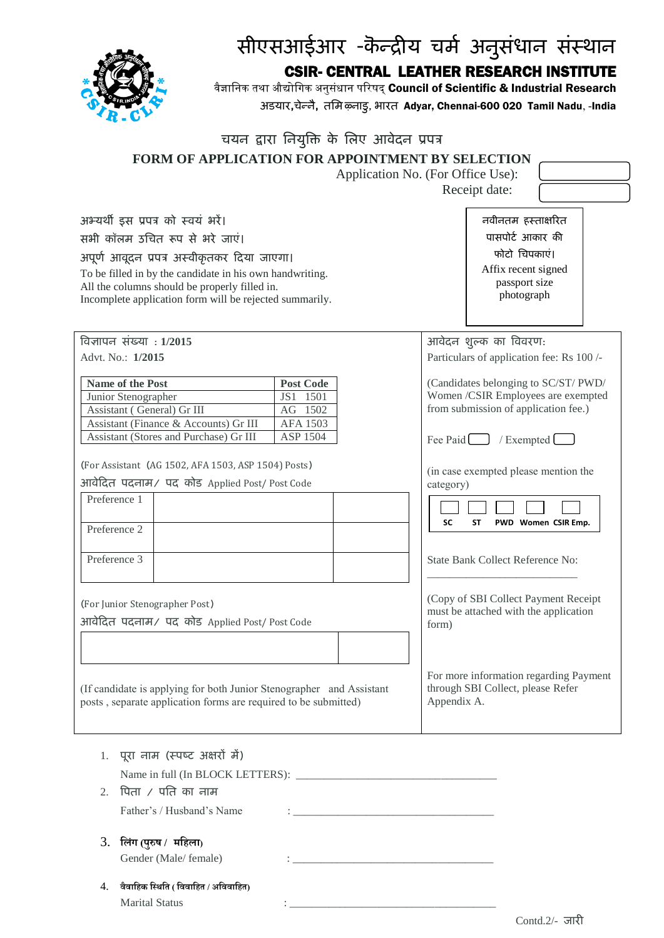

## सीएसआईआर -कॆन्द्रीय चर्म अनुसंधान संस्थान

CSIR- CENTRAL LEATHER RESEARCH INSTITUTE

वैज्ञानिक तथा औद्योगिक अनुसंधान परिषद् Council of Scientific & Industrial Research अडयार**,**चेन्द्नै**,** तमर् ऴ्नाडु, भारत Adyar, Chennai-600 020 Tamil Nadu, -India

| चयन द्वारा नियुक्ति के लिए आवेदन प्रपत्र                                                                                                                                                                                           |                                                                                                                                                            |
|------------------------------------------------------------------------------------------------------------------------------------------------------------------------------------------------------------------------------------|------------------------------------------------------------------------------------------------------------------------------------------------------------|
| <b>FORM OF APPLICATION FOR APPOINTMENT BY SELECTION</b>                                                                                                                                                                            |                                                                                                                                                            |
|                                                                                                                                                                                                                                    | Application No. (For Office Use):                                                                                                                          |
|                                                                                                                                                                                                                                    | Receipt date:                                                                                                                                              |
| अभ्यर्थी इस प्रपत्र को स्वयं भरें।<br>सभी कॉलम उचित रूप से भरे जाएं।                                                                                                                                                               | नवीनतम हस्ताक्षरित<br>पासपोर्ट आकार की                                                                                                                     |
| अपूर्ण आवूदन प्रपत्र अस्वीकृतकर दिया जाएगा।                                                                                                                                                                                        | फोटो चिपकाएं।                                                                                                                                              |
| To be filled in by the candidate in his own handwriting.<br>All the columns should be properly filled in.<br>Incomplete application form will be rejected summarily.                                                               | Affix recent signed<br>passport size<br>photograph                                                                                                         |
| विज्ञापन संख्या : 1/2015                                                                                                                                                                                                           | आवेदन शुल्क का विवरण:                                                                                                                                      |
| Advt. No.: 1/2015                                                                                                                                                                                                                  | Particulars of application fee: Rs 100 /-                                                                                                                  |
| Name of the Post<br><b>Post Code</b><br>Junior Stenographer<br>JS1 1501<br>Assistant (General) Gr III<br>AG 1502<br>Assistant (Finance & Accounts) Gr III<br><b>AFA 1503</b><br>Assistant (Stores and Purchase) Gr III<br>ASP 1504 | (Candidates belonging to SC/ST/ PWD/<br>Women /CSIR Employees are exempted<br>from submission of application fee.)<br>Fee Paid $\Box$<br>/ Exempted $\Box$ |
| (For Assistant (AG 1502, AFA 1503, ASP 1504) Posts)<br>आवेदित पदनाम/ पद कोड Applied Post/Post Code                                                                                                                                 | (in case exempted please mention the<br>category)                                                                                                          |
| Preference 1<br>Preference 2                                                                                                                                                                                                       | <b>SC</b><br>PWD Women CSIR Emp.<br>SΤ                                                                                                                     |
| Preference 3                                                                                                                                                                                                                       | State Bank Collect Reference No:                                                                                                                           |
| (For Junior Stenographer Post)<br>आवेदित पदनाम/ पद कोड Applied Post/Post Code                                                                                                                                                      | (Copy of SBI Collect Payment Receipt<br>must be attached with the application<br>form)                                                                     |
| (If candidate is applying for both Junior Stenographer and Assistant<br>posts, separate application forms are required to be submitted)                                                                                            | For more information regarding Payment<br>through SBI Collect, please Refer<br>Appendix A.                                                                 |
| 1. पूरा नाम (स्पष्ट अक्षरों में)<br>पिता $\prime$ पति का नाम<br>2.<br>Father's / Husband's Name                                                                                                                                    |                                                                                                                                                            |
| लिंग (पुरुष /  महिला)<br>3.<br>Gender (Male/ female)                                                                                                                                                                               |                                                                                                                                                            |

4. **वैवालिक लथिलि ( लववालिि / अलववालिि)** Marital Status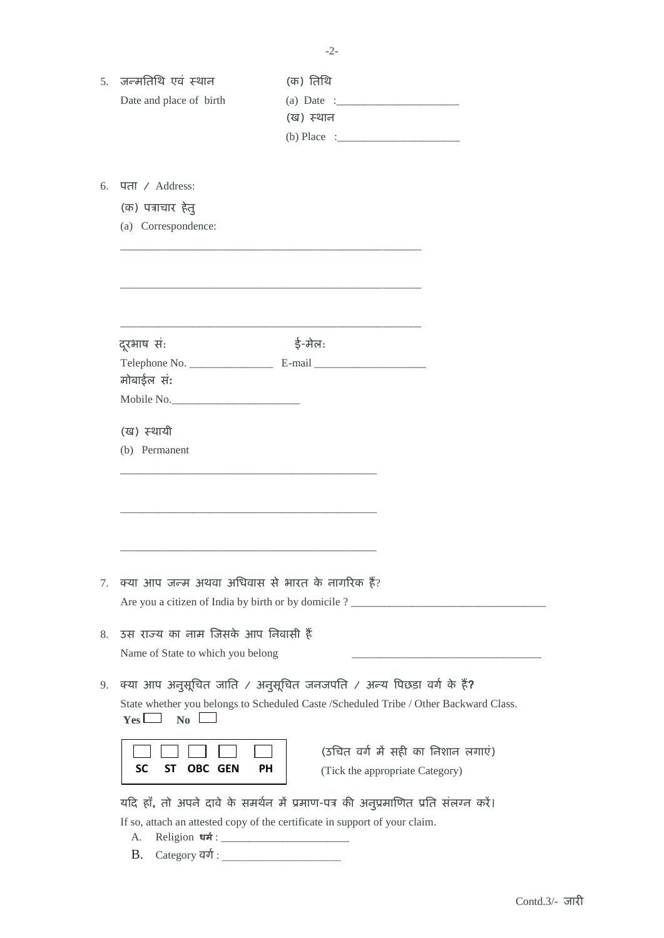| जन्मतिथि एवं स्थान<br>5 <sub>1</sub>      | (क) तिथि                                                                              |
|-------------------------------------------|---------------------------------------------------------------------------------------|
| Date and place of birth                   | (ख) स्थान                                                                             |
|                                           |                                                                                       |
|                                           |                                                                                       |
| पता / Address:<br>6.                      |                                                                                       |
| (क) पत्राचार हेत्                         |                                                                                       |
| (a) Correspondence:                       |                                                                                       |
|                                           |                                                                                       |
|                                           |                                                                                       |
|                                           |                                                                                       |
| दूरभाष सं:                                | ई-मेल:                                                                                |
|                                           |                                                                                       |
| मोबाईल सं:                                |                                                                                       |
| Mobile No.                                |                                                                                       |
| (ख) स्थायी                                |                                                                                       |
| (b) Permanent                             |                                                                                       |
|                                           |                                                                                       |
|                                           |                                                                                       |
|                                           |                                                                                       |
|                                           |                                                                                       |
|                                           |                                                                                       |
|                                           |                                                                                       |
|                                           |                                                                                       |
| 7.                                        | क्या आप जन्म अथवा अधिवास से भारत के नागरिक हैं?                                       |
|                                           | Are you a citizen of India by birth or by domicile ? ____________________________     |
| उस राज्य का नाम जिसके आप निवासी हैं<br>8. |                                                                                       |
| Name of State to which you belong         |                                                                                       |
|                                           |                                                                                       |
| 9.                                        | क्या आप अनुसूचित जाति / अनुसूचित जनजपति / अन्य पिछड़ा वर्ग के हैं?                    |
| $\mathbf{N}\mathbf{0}$<br>$Yes$ $\Box$    | State whether you belongs to Scheduled Caste /Scheduled Tribe / Other Backward Class. |
|                                           | (उचित वर्ग में सही का निशान लगाएं)                                                    |
| <b>SC</b><br><b>OBC GEN</b><br>SΤ         | PH<br>(Tick the appropriate Category)                                                 |
|                                           |                                                                                       |
|                                           | यदि हाँ, तो अपने दावे के समर्थन में प्रमाण-पत्र की अनुप्रमाणित प्रति संलग्न करें।     |
|                                           | If so, attach an attested copy of the certificate in support of your claim.           |
| А.                                        |                                                                                       |
| <b>B.</b>                                 |                                                                                       |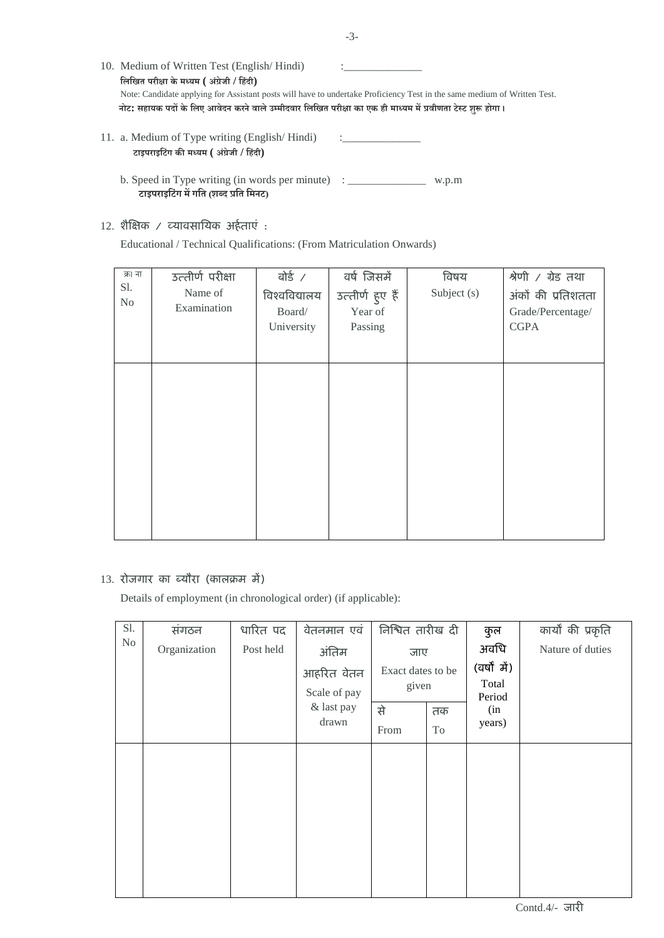| 10. Medium of Written Test (English/Hindi)                                                                   |                                                                                                                          |
|--------------------------------------------------------------------------------------------------------------|--------------------------------------------------------------------------------------------------------------------------|
| लिखित परीक्षा के मध्यम ( अंग्रेजी / हिंदी)                                                                   |                                                                                                                          |
|                                                                                                              | Note: Candidate applying for Assistant posts will have to undertake Proficiency Test in the same medium of Written Test. |
| नोट: सहायक पदों के लिए आवेदन करने वाले उम्मीदवार लिखित परीक्षा का एक ही माध्यम में प्रवीणता टेस्ट शुरू होगा। |                                                                                                                          |
|                                                                                                              |                                                                                                                          |

- 11. a. Medium of Type writing (English/Hindi) **टाइपराइलटिंग की मध्यम ( अिंग्रेजी / लिदिं ी)**
	- b. Speed in Type writing (in words per minute) : \_\_\_\_\_\_\_\_\_\_\_\_\_\_\_\_\_\_ w.p.m **टाइपराइलटिंग मेंगलि (शब्द प्रलि लमनट)**
- $12.$  शैक्षिक / व्यावसायिक अर्हताएं :

Educational / Technical Qualifications: (From Matriculation Onwards)

| क्र। ना<br>Sl.<br>N <sub>o</sub> | उत्तीर्ण परीक्षा<br>Name of<br>Examination | बोई ⁄<br>विश्वविद्यालय<br>Board/<br>University | वर्ष जिसमें<br>उत्तीर्ण हुए हैं<br>Year of<br>Passing | विषय<br>Subject (s) | श्रेणी / ग्रेड तथा<br>अंकों की प्रतिशतता<br>Grade/Percentage/<br><b>CGPA</b> |
|----------------------------------|--------------------------------------------|------------------------------------------------|-------------------------------------------------------|---------------------|------------------------------------------------------------------------------|
|                                  |                                            |                                                |                                                       |                     |                                                                              |

## 13. रोजगार का ब्यौरा (कालक्रम में)

Details of employment (in chronological order) (if applicable):

| Sl. | सगठन         | धारित पद  | वेतनमान एवं                                                | निश्चित तारीख दी                                                                   |          | कुल                                                      | कार्यों की प्रकृति |
|-----|--------------|-----------|------------------------------------------------------------|------------------------------------------------------------------------------------|----------|----------------------------------------------------------|--------------------|
| No  | Organization | Post held | अंतिम<br>आहरित वेतन<br>Scale of pay<br>& last pay<br>drawn | जाए<br>Exact dates to be<br>given<br>से<br>$\ensuremath{\textnormal{\text{From}}}$ | तक<br>To | अवधि<br>(वर्षों में)<br>Total<br>Period<br>(in<br>years) | Nature of duties   |
|     |              |           |                                                            |                                                                                    |          |                                                          |                    |

Contd.4/- जारी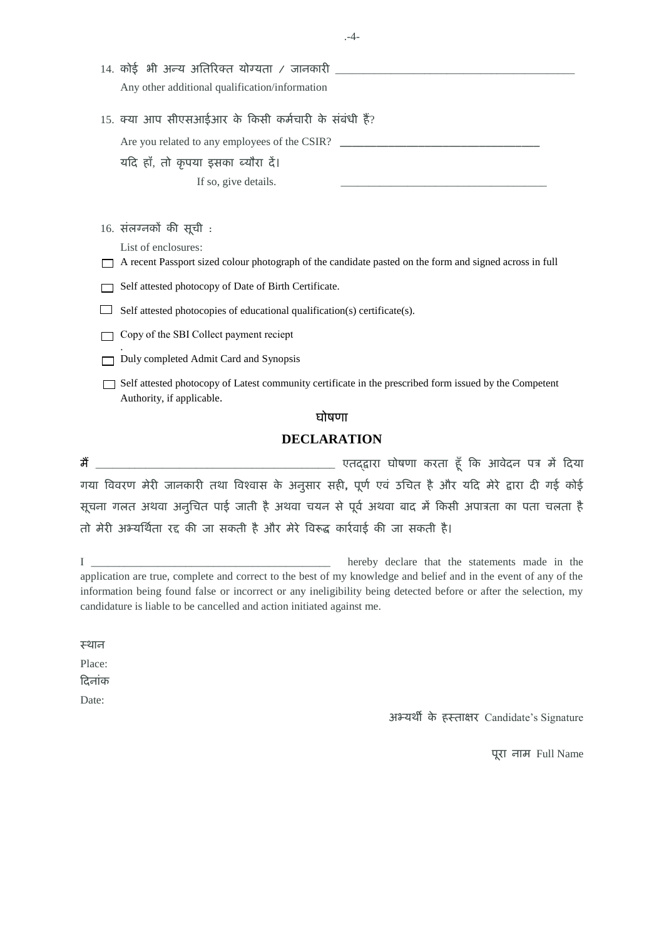|  | Any other additional qualification/information                                                                                      |
|--|-------------------------------------------------------------------------------------------------------------------------------------|
|  | 15. क्या आप सीएसआईआर के किसी कर्मचारी के संबंधी हैं?                                                                                |
|  | Are you related to any employees of the CSIR?                                                                                       |
|  | यदि हाँ, तो कृपया इसका ब्यौरा दें।                                                                                                  |
|  | If so, give details.                                                                                                                |
|  |                                                                                                                                     |
|  | 16. संलग्नकों की सूची:                                                                                                              |
|  | List of enclosures:<br>A recent Passport sized colour photograph of the candidate pasted on the form and signed across in full      |
|  | Self attested photocopy of Date of Birth Certificate.                                                                               |
|  | Self attested photocopies of educational qualification(s) certificate(s).                                                           |
|  | Copy of the SBI Collect payment reciept                                                                                             |
|  | Duly completed Admit Card and Synopsis                                                                                              |
|  | Self attested photocopy of Latest community certificate in the prescribed form issued by the Competent<br>Authority, if applicable. |
|  | घोषणा                                                                                                                               |
|  | <b>DECLARATION</b>                                                                                                                  |
|  |                                                                                                                                     |
|  | गया विवरण मेरी जानकारी तथा विश्वास के अनुसार सही, पूर्ण एवं उचित है और यदि मेरे द्वारा दी गई कोई                                    |
|  |                                                                                                                                     |

सूचना गलत अथवा अनुचित पाई जाती है अथवा चयन से पूर्व अथवा बाद में किसी अपात्रता का पता चलता है तो मेरी अभ्यर्थिता रद्द की जा सकती है और मेरे विरूद्ध कार्रवाई की जा सकती है।

I \_\_\_\_\_\_\_\_\_\_\_\_\_\_\_\_\_\_\_\_\_\_\_\_\_\_\_\_\_\_\_\_\_\_\_\_\_\_\_\_\_\_\_ hereby declare that the statements made in the application are true, complete and correct to the best of my knowledge and belief and in the event of any of the information being found false or incorrect or any ineligibility being detected before or after the selection, my candidature is liable to be cancelled and action initiated against me.

स्थान

Place:

दिनांक

Date:

अभ्यर्थी के हस्ताक्षर Candidate's Signature

तूरा नार् Full Name

.-4-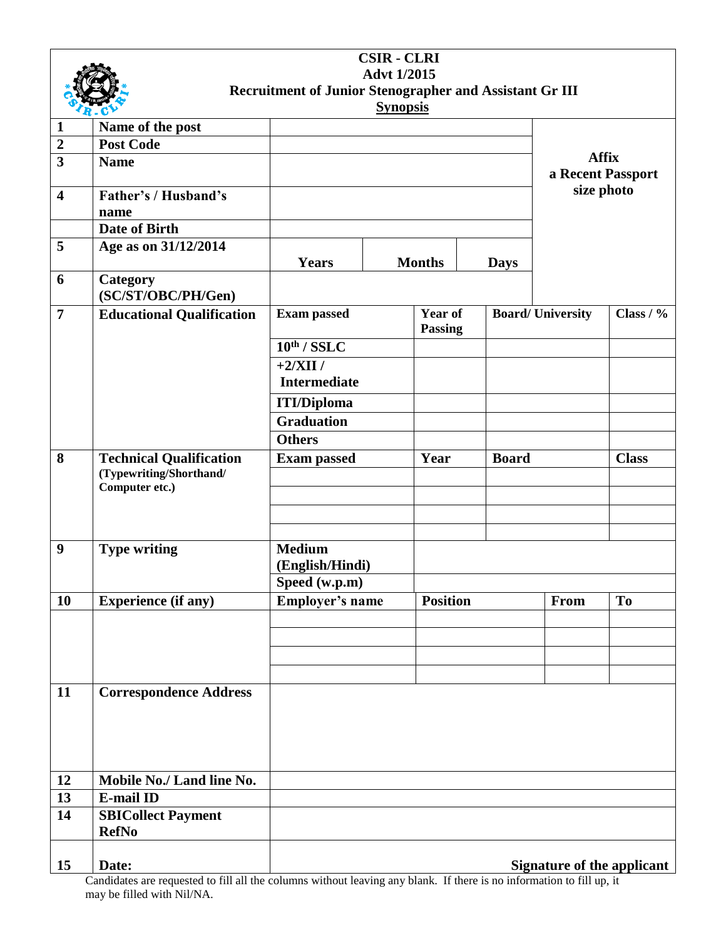| <b>CSIR - CLRI</b>                                      |                                     |                        |                 |                                  |              |                         |                                   |
|---------------------------------------------------------|-------------------------------------|------------------------|-----------------|----------------------------------|--------------|-------------------------|-----------------------------------|
| <b>Advt 1/2015</b>                                      |                                     |                        |                 |                                  |              |                         |                                   |
| Recruitment of Junior Stenographer and Assistant Gr III |                                     |                        |                 |                                  |              |                         |                                   |
|                                                         |                                     |                        | <b>Synopsis</b> |                                  |              |                         |                                   |
| $\mathbf{1}$                                            | Name of the post                    |                        |                 |                                  |              |                         |                                   |
| $\boldsymbol{2}$                                        | <b>Post Code</b>                    |                        |                 |                                  |              |                         |                                   |
| $\overline{\mathbf{3}}$                                 | <b>Name</b>                         |                        |                 |                                  |              |                         | <b>Affix</b><br>a Recent Passport |
| $\overline{\mathbf{4}}$                                 | <b>Father's / Husband's</b><br>name |                        |                 |                                  |              |                         | size photo                        |
|                                                         | <b>Date of Birth</b>                |                        |                 |                                  |              |                         |                                   |
| 5                                                       | Age as on 31/12/2014                |                        |                 |                                  |              |                         |                                   |
|                                                         |                                     | <b>Years</b>           |                 | <b>Months</b>                    | <b>Days</b>  |                         |                                   |
| 6                                                       | Category<br>(SC/ST/OBC/PH/Gen)      |                        |                 |                                  |              |                         |                                   |
| $\overline{7}$                                          | <b>Educational Qualification</b>    | <b>Exam passed</b>     |                 | <b>Year of</b><br><b>Passing</b> |              | <b>Board/University</b> | Class $/$ %                       |
|                                                         |                                     | $10^{th}$ / SSLC       |                 |                                  |              |                         |                                   |
|                                                         |                                     | $+2/XII/$              |                 |                                  |              |                         |                                   |
|                                                         |                                     | <b>Intermediate</b>    |                 |                                  |              |                         |                                   |
|                                                         |                                     | <b>ITI/Diploma</b>     |                 |                                  |              |                         |                                   |
|                                                         |                                     | <b>Graduation</b>      |                 |                                  |              |                         |                                   |
|                                                         |                                     | <b>Others</b>          |                 |                                  |              |                         |                                   |
| 8                                                       | <b>Technical Qualification</b>      | <b>Exam passed</b>     |                 | Year                             | <b>Board</b> |                         | <b>Class</b>                      |
|                                                         | (Typewriting/Shorthand/             |                        |                 |                                  |              |                         |                                   |
|                                                         | Computer etc.)                      |                        |                 |                                  |              |                         |                                   |
|                                                         |                                     |                        |                 |                                  |              |                         |                                   |
|                                                         |                                     |                        |                 |                                  |              |                         |                                   |
| 9                                                       | <b>Type writing</b>                 | <b>Medium</b>          |                 |                                  |              |                         |                                   |
|                                                         |                                     | (English/Hindi)        |                 |                                  |              |                         |                                   |
|                                                         |                                     | Speed (w.p.m)          |                 |                                  |              |                         |                                   |
| 10                                                      | <b>Experience</b> (if any)          | <b>Employer's name</b> |                 | <b>Position</b>                  |              | From                    | <b>To</b>                         |
|                                                         |                                     |                        |                 |                                  |              |                         |                                   |
|                                                         |                                     |                        |                 |                                  |              |                         |                                   |
|                                                         |                                     |                        |                 |                                  |              |                         |                                   |
|                                                         |                                     |                        |                 |                                  |              |                         |                                   |
| 11                                                      | <b>Correspondence Address</b>       |                        |                 |                                  |              |                         |                                   |
|                                                         |                                     |                        |                 |                                  |              |                         |                                   |
|                                                         |                                     |                        |                 |                                  |              |                         |                                   |
|                                                         |                                     |                        |                 |                                  |              |                         |                                   |
|                                                         |                                     |                        |                 |                                  |              |                         |                                   |
| 12                                                      | Mobile No./ Land line No.           |                        |                 |                                  |              |                         |                                   |
| 13                                                      | <b>E-mail ID</b>                    |                        |                 |                                  |              |                         |                                   |
| 14                                                      | <b>SBICollect Payment</b>           |                        |                 |                                  |              |                         |                                   |
|                                                         | <b>RefNo</b>                        |                        |                 |                                  |              |                         |                                   |
|                                                         |                                     |                        |                 |                                  |              |                         |                                   |
| 15                                                      | Date:                               |                        |                 |                                  |              |                         | <b>Signature of the applicant</b> |
|                                                         |                                     |                        |                 |                                  |              |                         |                                   |

Candidates are requested to fill all the columns without leaving any blank. If there is no information to fill up, it may be filled with Nil/NA.